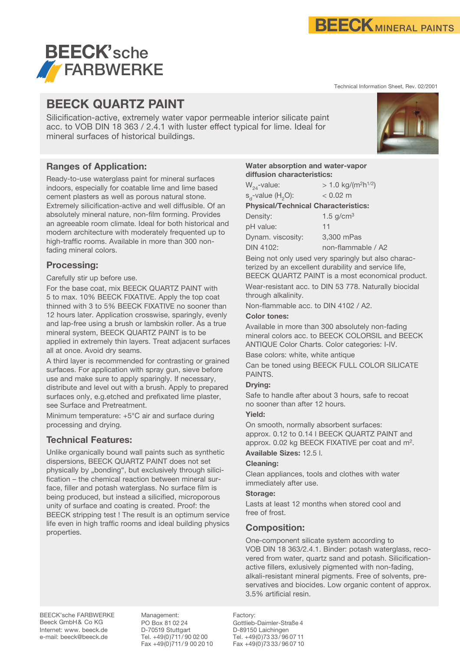

Technical Information Sheet, Rev. 02/2001



## **BEECK QUARTZ PAINT**

Silicification-active, extremely water vapor permeable interior silicate paint acc. to VOB DIN 18 363 / 2.4.1 with luster effect typical for lime. Ideal for mineral surfaces of historical buildings.

## **Ranges of Application:**

Ready-to-use waterglass paint for mineral surfaces indoors, especially for coatable lime and lime based cement plasters as well as porous natural stone. Extremely silicification-active and well diffusible. Of an absolutely mineral nature, non-film forming. Provides an agreeable room climate. Ideal for both historical and modern architecture with moderately frequented up to high-traffic rooms. Available in more than 300 nonfading mineral colors.

## **Processing:**

Carefully stir up before use.

For the base coat, mix BEECK QUARTZ PAINT with 5 to max. 10% BEECK FIXATIVE. Apply the top coat thinned with 3 to 5% BEECK FIXATIVE no sooner than 12 hours later. Application crosswise, sparingly, evenly and lap-free using a brush or lambskin roller. As a true mineral system, BEECK QUARTZ PAINT is to be applied in extremely thin layers. Treat adjacent surfaces all at once. Avoid dry seams.

A third layer is recommended for contrasting or grained surfaces. For application with spray gun, sieve before use and make sure to apply sparingly. If necessary, distribute and level out with a brush. Apply to prepared surfaces only, e.g.etched and prefixated lime plaster, see Surface and Pretreatment.

Minimum temperature: +5°C air and surface during processing and drying.

## **Technical Features:**

Unlike organically bound wall paints such as synthetic dispersions, BEECK QUARTZ PAINT does not set physically by "bonding", but exclusively through silicification – the chemical reaction between mineral surface, filler and potash waterglass. No surface film is being produced, but instead a silicified, microporous unity of surface and coating is created. Proof: the BEECK stripping test ! The result is an optimum service life even in high traffic rooms and ideal building physics properties.

#### **Water absorption and water-vapor diffusion characteristics:**

| $W_{24}$ -value:                           | $> 1.0$ kg/(m <sup>2</sup> h <sup>1/2</sup> ) |
|--------------------------------------------|-----------------------------------------------|
| $s_{d}$ -value (H <sub>2</sub> O):         | $< 0.02$ m                                    |
| <b>Physical/Technical Characteristics:</b> |                                               |
| Density:                                   | 1.5 $g/cm3$                                   |
| pH value:                                  | 11                                            |
| Dynam. viscosity:                          | 3,300 mPas                                    |
| <b>DIN 4102:</b>                           | non-flammable / A2                            |

Being not only used very sparingly but also characterized by an excellent durability and service life, BEECK QUARTZ PAINT is a most economical product. Wear-resistant acc. to DIN 53 778. Naturally biocidal through alkalinity.

Non-flammable acc. to DIN 4102 / A2.

#### **Color tones:**

Available in more than 300 absolutely non-fading mineral colors acc. to BEECK COLORSIL and BEECK ANTIQUE Color Charts. Color categories: I-IV.

Base colors: white, white antique

Can be toned using BEECK FULL COLOR SILICATE PAINTS.

#### **Drying:**

Safe to handle after about 3 hours, safe to recoat no sooner than after 12 hours.

#### **Yield:**

On smooth, normally absorbent surfaces: approx. 0.12 to 0.14 l BEECK QUARTZ PAINT and approx. 0.02 kg BEECK FIXATIVE per coat and m2.

**Available Sizes:** 12.5 l.

### **Cleaning:**

Clean appliances, tools and clothes with water immediately after use.

#### **Storage:**

Lasts at least 12 months when stored cool and free of frost.

## **Composition:**

One-component silicate system according to VOB DIN 18 363/2.4.1. Binder: potash waterglass, recovered from water, quartz sand and potash. Silicificationactive fillers, exlusively pigmented with non-fading, alkali-resistant mineral pigments. Free of solvents, preservatives and biocides. Low organic content of approx. 3.5% artificial resin.

BEECK'sche FARBWERKE Beeck GmbH& Co KG Internet: www. beeck.de e-mail: beeck@beeck.de

Management: PO Box 81 02 24 D-70519 Stuttgart Tel. +49(0)711/ 90 02 00 Fax +49(0)711/9 00 20 10

Factory: Gottlieb-Daimler-Straße 4 D-89150 Laichingen Tel. +49(0)7333/ 96 07 11 Fax +49(0)7333/ 96 07 10